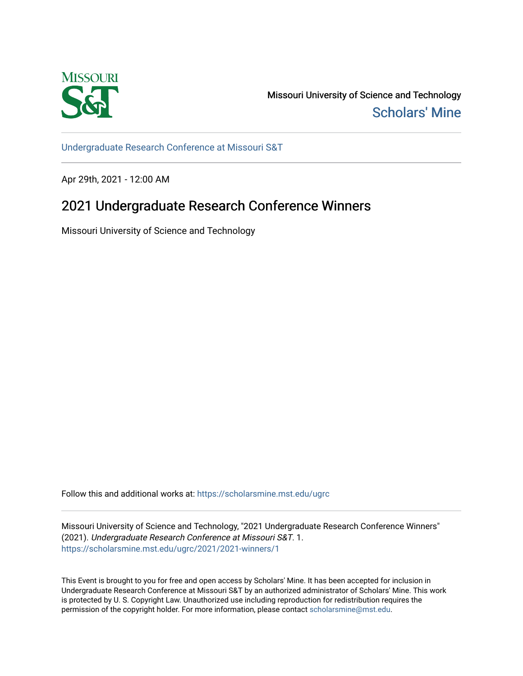

Missouri University of Science and Technology [Scholars' Mine](https://scholarsmine.mst.edu/) 

[Undergraduate Research Conference at Missouri S&T](https://scholarsmine.mst.edu/ugrc)

Apr 29th, 2021 - 12:00 AM

# 2021 Undergraduate Research Conference Winners

Missouri University of Science and Technology

Follow this and additional works at: [https://scholarsmine.mst.edu/ugrc](https://scholarsmine.mst.edu/ugrc?utm_source=scholarsmine.mst.edu%2Fugrc%2F2021%2F2021-winners%2F1&utm_medium=PDF&utm_campaign=PDFCoverPages) 

Missouri University of Science and Technology, "2021 Undergraduate Research Conference Winners" (2021). Undergraduate Research Conference at Missouri S&T. 1. [https://scholarsmine.mst.edu/ugrc/2021/2021-winners/1](https://scholarsmine.mst.edu/ugrc/2021/2021-winners/1?utm_source=scholarsmine.mst.edu%2Fugrc%2F2021%2F2021-winners%2F1&utm_medium=PDF&utm_campaign=PDFCoverPages) 

This Event is brought to you for free and open access by Scholars' Mine. It has been accepted for inclusion in Undergraduate Research Conference at Missouri S&T by an authorized administrator of Scholars' Mine. This work is protected by U. S. Copyright Law. Unauthorized use including reproduction for redistribution requires the permission of the copyright holder. For more information, please contact [scholarsmine@mst.edu](mailto:scholarsmine@mst.edu).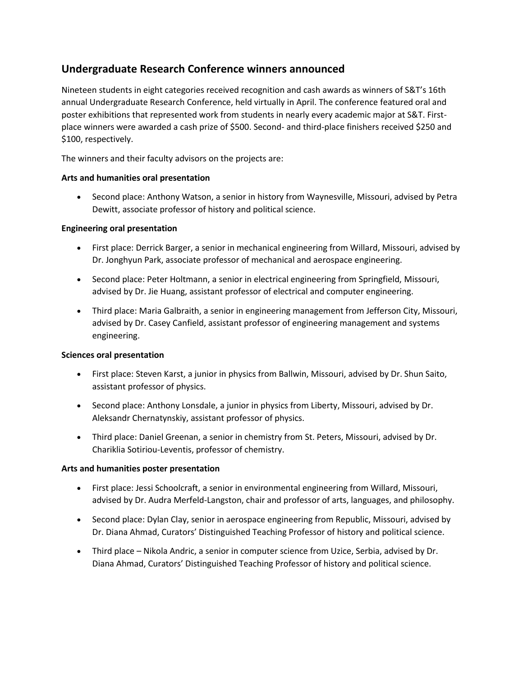# **Undergraduate Research Conference winners announced**

Nineteen students in eight categories received recognition and cash awards as winners of S&T's 16th annual Undergraduate Research Conference, held virtually in April. The conference featured oral and poster exhibitions that represented work from students in nearly every academic major at S&T. Firstplace winners were awarded a cash prize of \$500. Second- and third-place finishers received \$250 and \$100, respectively.

The winners and their faculty advisors on the projects are:

# **Arts and humanities oral presentation**

• Second place: Anthony Watson, a senior in history from Waynesville, Missouri, advised by Petra Dewitt, associate professor of history and political science.

# **Engineering oral presentation**

- First place: Derrick Barger, a senior in mechanical engineering from Willard, Missouri, advised by Dr. Jonghyun Park, associate professor of mechanical and aerospace engineering.
- Second place: Peter Holtmann, a senior in electrical engineering from Springfield, Missouri, advised by Dr. Jie Huang, assistant professor of electrical and computer engineering.
- Third place: Maria Galbraith, a senior in engineering management from Jefferson City, Missouri, advised by Dr. Casey Canfield, assistant professor of engineering management and systems engineering.

# **Sciences oral presentation**

- First place: Steven Karst, a junior in physics from Ballwin, Missouri, advised by Dr. Shun Saito, assistant professor of physics.
- Second place: Anthony Lonsdale, a junior in physics from Liberty, Missouri, advised by Dr. Aleksandr Chernatynskiy, assistant professor of physics.
- Third place: Daniel Greenan, a senior in chemistry from St. Peters, Missouri, advised by Dr. Chariklia Sotiriou-Leventis, professor of chemistry.

# **Arts and humanities poster presentation**

- First place: Jessi Schoolcraft, a senior in environmental engineering from Willard, Missouri, advised by Dr. Audra Merfeld-Langston, chair and professor of arts, languages, and philosophy.
- Second place: Dylan Clay, senior in aerospace engineering from Republic, Missouri, advised by Dr. Diana Ahmad, Curators' Distinguished Teaching Professor of history and political science.
- Third place Nikola Andric, a senior in computer science from Uzice, Serbia, advised by Dr. Diana Ahmad, Curators' Distinguished Teaching Professor of history and political science.